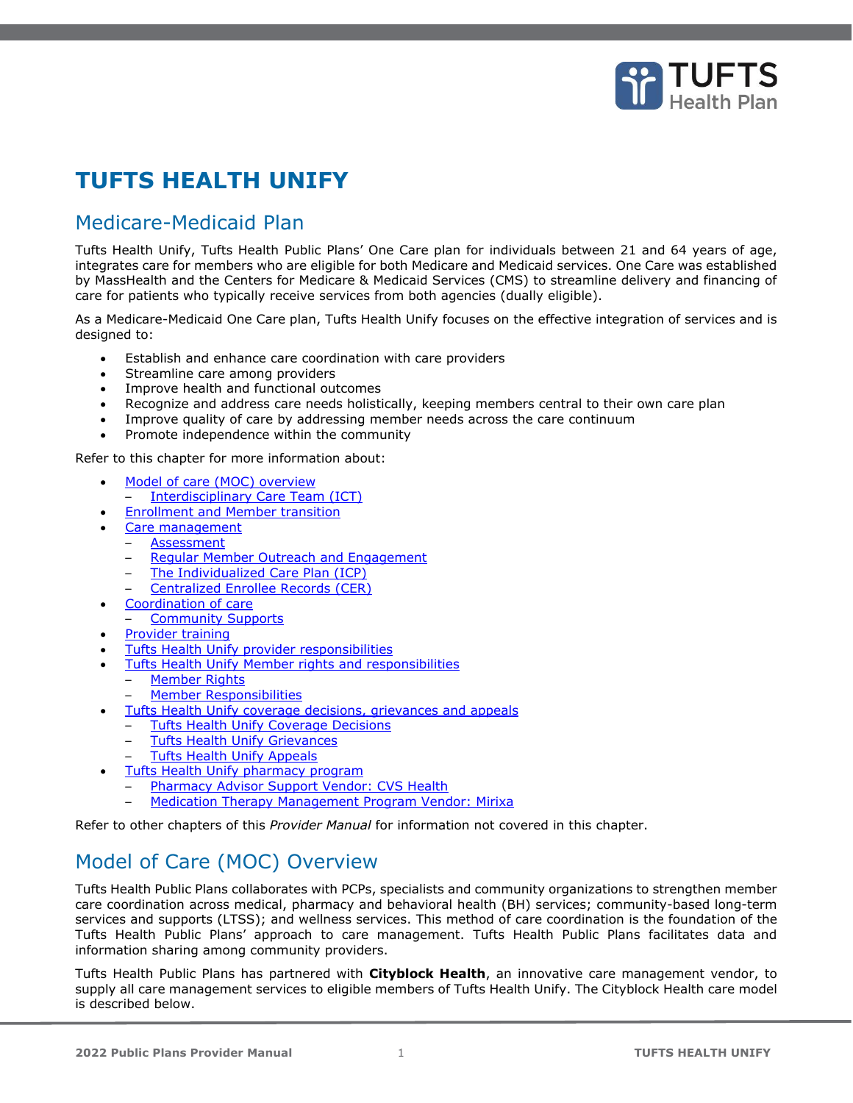

# **TUFTS HEALTH UNIFY**

# Medicare-Medicaid Plan

Tufts Health Unify, Tufts Health Public Plans' One Care plan for individuals between 21 and 64 years of age, integrates care for members who are eligible for both Medicare and Medicaid services. One Care was established by MassHealth and the Centers for Medicare & Medicaid Services (CMS) to streamline delivery and financing of care for patients who typically receive services from both agencies (dually eligible).

As a Medicare-Medicaid One Care plan, Tufts Health Unify focuses on the effective integration of services and is designed to:

- Establish and enhance care coordination with care providers
- Streamline care among providers
- Improve health and functional outcomes
- Recognize and address care needs holistically, keeping members central to their own care plan
- Improve quality of care by addressing member needs across the care continuum
- Promote independence within the community

Refer to this chapter for more information about:

- [Model of care \(MOC\) overview](#page-0-0) – [Interdisciplinary Care Team \(ICT\)](#page-1-0)
- **[Enrollment and Member transition](#page-2-0)**
- 
- [Care management](#page-2-1) **[Assessment](#page-2-2)** 
	-
	- **[Regular Member Outreach and Engagement](#page-2-3)**
	- [The Individualized Care Plan \(ICP\)](#page-3-0) – [Centralized Enrollee Records \(CER\)](#page-3-1)
- [Coordination of care](#page-3-2)
- [Community Supports](#page-3-3)
- **[Provider training](#page-4-0)**
- [Tufts Health Unify provider responsibilities](#page-4-1)
- **[Tufts Health Unify Member rights and responsibilities](#page-4-2)** 
	- **[Member Rights](#page-4-3)**
	- [Member Responsibilities](#page-5-0)
- [Tufts Health Unify coverage decisions, grievances and appeals](#page-6-0)
	- [Tufts Health Unify Coverage Decisions](#page-6-1)
	- **[Tufts Health Unify Grievances](#page-7-0)**
	- [Tufts Health Unify Appeals](#page-7-1)
- **[Tufts Health Unify pharmacy program](#page-9-0)** 
	- [Pharmacy Advisor Support Vendor: CVS Health](#page-9-1)
- [Medication Therapy Management Program Vendor: Mirixa](#page-9-2)

Refer to other chapters of this *Provider Manual* for information not covered in this chapter.

# <span id="page-0-0"></span>Model of Care (MOC) Overview

Tufts Health Public Plans collaborates with PCPs, specialists and community organizations to strengthen member care coordination across medical, pharmacy and behavioral health (BH) services; community-based long-term services and supports (LTSS); and wellness services. This method of care coordination is the foundation of the Tufts Health Public Plans' approach to care management. Tufts Health Public Plans facilitates data and information sharing among community providers.

Tufts Health Public Plans has partnered with **Cityblock Health**, an innovative care management vendor, to supply all care management services to eligible members of Tufts Health Unify. The Cityblock Health care model is described below.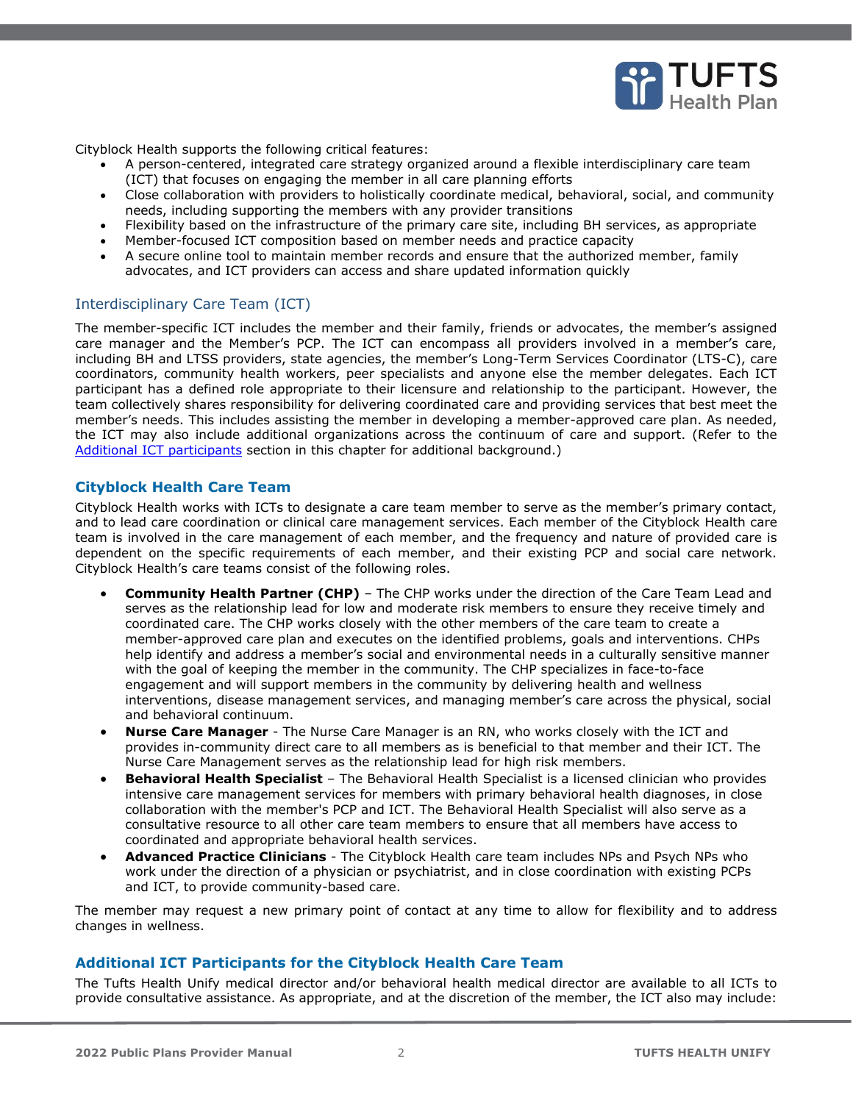

Cityblock Health supports the following critical features:

- A person-centered, integrated care strategy organized around a flexible interdisciplinary care team (ICT) that focuses on engaging the member in all care planning efforts
- Close collaboration with providers to holistically coordinate medical, behavioral, social, and community needs, including supporting the members with any provider transitions
- Flexibility based on the infrastructure of the primary care site, including BH services, as appropriate
- Member-focused ICT composition based on member needs and practice capacity
- A secure online tool to maintain member records and ensure that the authorized member, family advocates, and ICT providers can access and share updated information quickly

## <span id="page-1-0"></span>Interdisciplinary Care Team (ICT)

The member-specific ICT includes the member and their family, friends or advocates, the member's assigned care manager and the Member's PCP. The ICT can encompass all providers involved in a member's care, including BH and LTSS providers, state agencies, the member's Long-Term Services Coordinator (LTS-C), care coordinators, community health workers, peer specialists and anyone else the member delegates. Each ICT participant has a defined role appropriate to their licensure and relationship to the participant. However, the team collectively shares responsibility for delivering coordinated care and providing services that best meet the member's needs. This includes assisting the member in developing a member-approved care plan. As needed, the ICT may also include additional organizations across the continuum of care and support. (Refer to the [Additional ICT participants](#page-1-1) section in this chapter for additional background.)

### **Cityblock Health Care Team**

Cityblock Health works with ICTs to designate a care team member to serve as the member's primary contact, and to lead care coordination or clinical care management services. Each member of the Cityblock Health care team is involved in the care management of each member, and the frequency and nature of provided care is dependent on the specific requirements of each member, and their existing PCP and social care network. Cityblock Health's care teams consist of the following roles.

- **Community Health Partner (CHP)** The CHP works under the direction of the Care Team Lead and serves as the relationship lead for low and moderate risk members to ensure they receive timely and coordinated care. The CHP works closely with the other members of the care team to create a member-approved care plan and executes on the identified problems, goals and interventions. CHPs help identify and address a member's social and environmental needs in a culturally sensitive manner with the goal of keeping the member in the community. The CHP specializes in face-to-face engagement and will support members in the community by delivering health and wellness interventions, disease management services, and managing member's care across the physical, social and behavioral continuum.
- **Nurse Care Manager** The Nurse Care Manager is an RN, who works closely with the ICT and provides in-community direct care to all members as is beneficial to that member and their ICT. The Nurse Care Management serves as the relationship lead for high risk members.
- **Behavioral Health Specialist** The Behavioral Health Specialist is a licensed clinician who provides intensive care management services for members with primary behavioral health diagnoses, in close collaboration with the member's PCP and ICT. The Behavioral Health Specialist will also serve as a consultative resource to all other care team members to ensure that all members have access to coordinated and appropriate behavioral health services.
- **Advanced Practice Clinicians** The Cityblock Health care team includes NPs and Psych NPs who work under the direction of a physician or psychiatrist, and in close coordination with existing PCPs and ICT, to provide community-based care.

The member may request a new primary point of contact at any time to allow for flexibility and to address changes in wellness.

### <span id="page-1-1"></span>**Additional ICT Participants for the Cityblock Health Care Team**

The Tufts Health Unify medical director and/or behavioral health medical director are available to all ICTs to provide consultative assistance. As appropriate, and at the discretion of the member, the ICT also may include: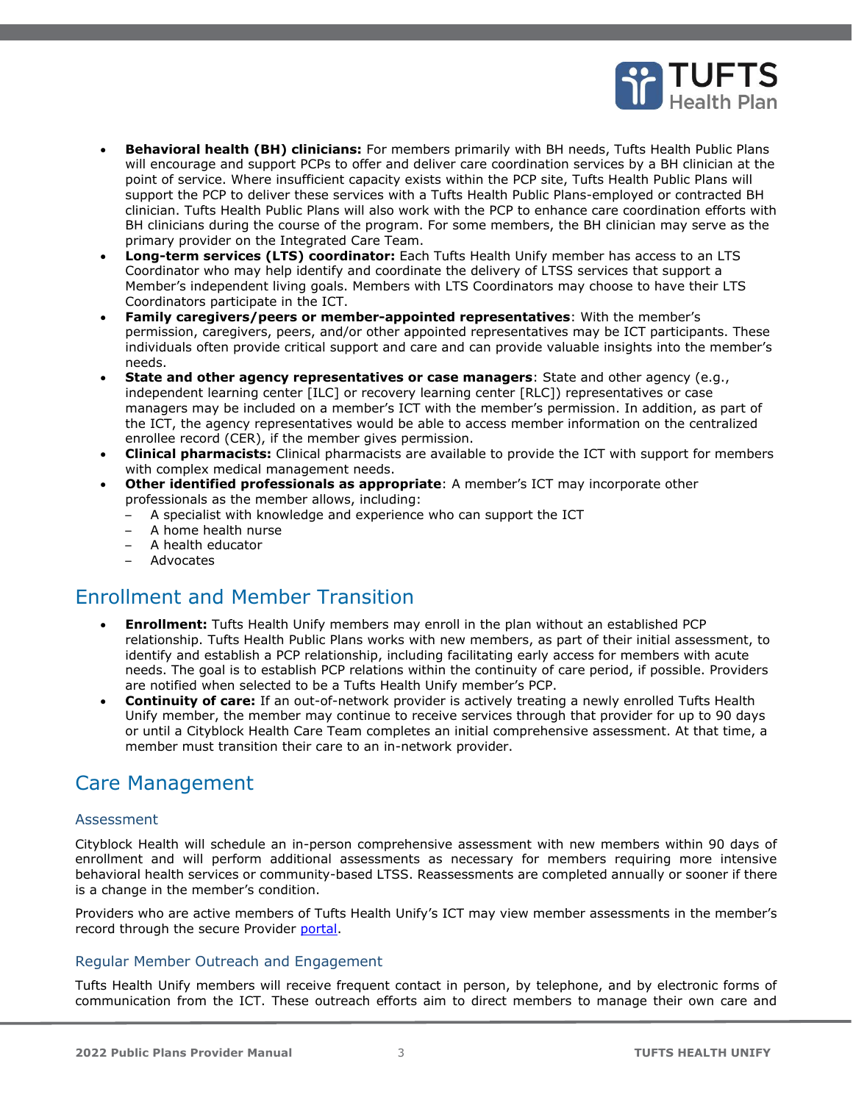

- **Behavioral health (BH) clinicians:** For members primarily with BH needs, Tufts Health Public Plans will encourage and support PCPs to offer and deliver care coordination services by a BH clinician at the point of service. Where insufficient capacity exists within the PCP site, Tufts Health Public Plans will support the PCP to deliver these services with a Tufts Health Public Plans-employed or contracted BH clinician. Tufts Health Public Plans will also work with the PCP to enhance care coordination efforts with BH clinicians during the course of the program. For some members, the BH clinician may serve as the primary provider on the Integrated Care Team.
- **Long-term services (LTS) coordinator:** Each Tufts Health Unify member has access to an LTS Coordinator who may help identify and coordinate the delivery of LTSS services that support a Member's independent living goals. Members with LTS Coordinators may choose to have their LTS Coordinators participate in the ICT.
- **Family caregivers/peers or member-appointed representatives**: With the member's permission, caregivers, peers, and/or other appointed representatives may be ICT participants. These individuals often provide critical support and care and can provide valuable insights into the member's needs.
- **State and other agency representatives or case managers**: State and other agency (e.g., independent learning center [ILC] or recovery learning center [RLC]) representatives or case managers may be included on a member's ICT with the member's permission. In addition, as part of the ICT, the agency representatives would be able to access member information on the centralized enrollee record (CER), if the member gives permission.
- **Clinical pharmacists:** Clinical pharmacists are available to provide the ICT with support for members with complex medical management needs.
- **Other identified professionals as appropriate**: A member's ICT may incorporate other professionals as the member allows, including:
	- A specialist with knowledge and experience who can support the ICT
	- A home health nurse
	- A health educator
	- Advocates

# <span id="page-2-0"></span>Enrollment and Member Transition

- **Enrollment:** Tufts Health Unify members may enroll in the plan without an established PCP relationship. Tufts Health Public Plans works with new members, as part of their initial assessment, to identify and establish a PCP relationship, including facilitating early access for members with acute needs. The goal is to establish PCP relations within the continuity of care period, if possible. Providers are notified when selected to be a Tufts Health Unify member's PCP.
- **Continuity of care:** If an out-of-network provider is actively treating a newly enrolled Tufts Health Unify member, the member may continue to receive services through that provider for up to 90 days or until a Cityblock Health Care Team completes an initial comprehensive assessment. At that time, a member must transition their care to an in-network provider.

# <span id="page-2-1"></span>Care Management

### <span id="page-2-2"></span>Assessment

Cityblock Health will schedule an in-person comprehensive assessment with new members within 90 days of enrollment and will perform additional assessments as necessary for members requiring more intensive behavioral health services or community-based LTSS. Reassessments are completed annually or sooner if there is a change in the member's condition.

Providers who are active members of Tufts Health Unify's ICT may view member assessments in the member's record through the secure Provider [portal.](https://tuftshealthplan.com/login)

### <span id="page-2-3"></span>Regular Member Outreach and Engagement

Tufts Health Unify members will receive frequent contact in person, by telephone, and by electronic forms of communication from the ICT. These outreach efforts aim to direct members to manage their own care and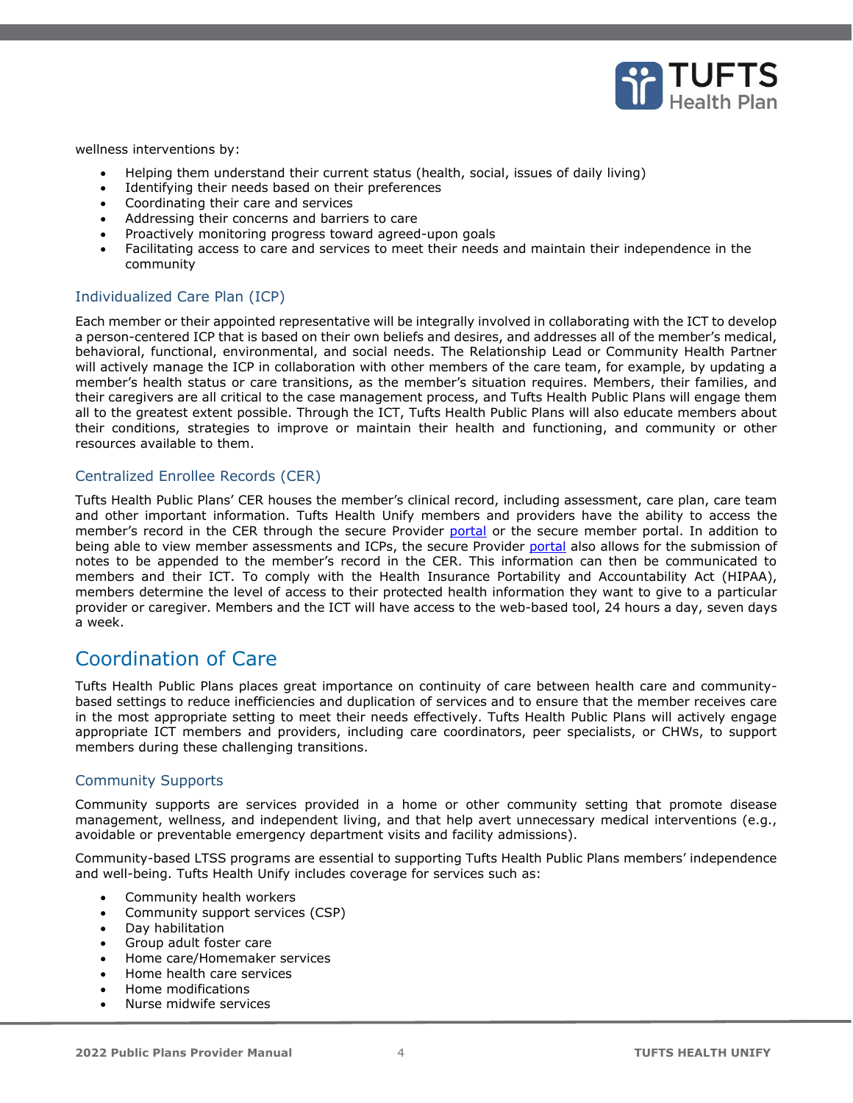

wellness interventions by:

- Helping them understand their current status (health, social, issues of daily living)
- Identifying their needs based on their preferences
- Coordinating their care and services
- Addressing their concerns and barriers to care
- Proactively monitoring progress toward agreed-upon goals
- Facilitating access to care and services to meet their needs and maintain their independence in the community

### <span id="page-3-0"></span>Individualized Care Plan (ICP)

Each member or their appointed representative will be integrally involved in collaborating with the ICT to develop a person-centered ICP that is based on their own beliefs and desires, and addresses all of the member's medical, behavioral, functional, environmental, and social needs. The Relationship Lead or Community Health Partner will actively manage the ICP in collaboration with other members of the care team, for example, by updating a member's health status or care transitions, as the member's situation requires. Members, their families, and their caregivers are all critical to the case management process, and Tufts Health Public Plans will engage them all to the greatest extent possible. Through the ICT, Tufts Health Public Plans will also educate members about their conditions, strategies to improve or maintain their health and functioning, and community or other resources available to them.

### <span id="page-3-1"></span>Centralized Enrollee Records (CER)

Tufts Health Public Plans' CER houses the member's clinical record, including assessment, care plan, care team and other important information. Tufts Health Unify members and providers have the ability to access the member's record in the CER through the secure Provider [portal](https://tuftshealthplan.com/login) or the secure member portal. In addition to being able to view member assessments and ICPs, the secure Provider [portal](https://tuftshealthplan.com/login) also allows for the submission of notes to be appended to the member's record in the CER. This information can then be communicated to members and their ICT. To comply with the Health Insurance Portability and Accountability Act (HIPAA), members determine the level of access to their protected health information they want to give to a particular provider or caregiver. Members and the ICT will have access to the web-based tool, 24 hours a day, seven days a week.

# <span id="page-3-2"></span>Coordination of Care

Tufts Health Public Plans places great importance on continuity of care between health care and communitybased settings to reduce inefficiencies and duplication of services and to ensure that the member receives care in the most appropriate setting to meet their needs effectively. Tufts Health Public Plans will actively engage appropriate ICT members and providers, including care coordinators, peer specialists, or CHWs, to support members during these challenging transitions.

## <span id="page-3-3"></span>Community Supports

Community supports are services provided in a home or other community setting that promote disease management, wellness, and independent living, and that help avert unnecessary medical interventions (e.g., avoidable or preventable emergency department visits and facility admissions).

Community-based LTSS programs are essential to supporting Tufts Health Public Plans members' independence and well-being. Tufts Health Unify includes coverage for services such as:

- Community health workers
- Community support services (CSP)
- Day habilitation
- Group adult foster care
- Home care/Homemaker services
- Home health care services
- Home modifications
- Nurse midwife services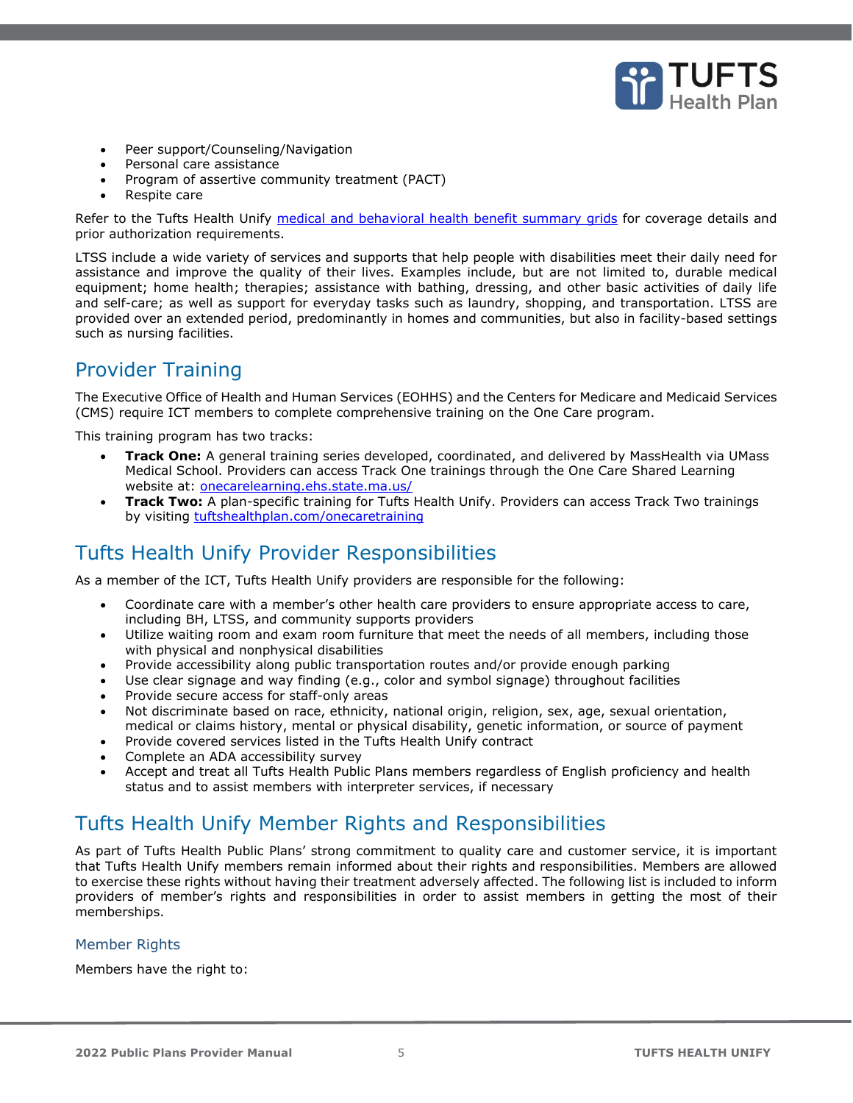

- Peer support/Counseling/Navigation
- Personal care assistance
- Program of assertive community treatment (PACT)
- Respite care

Refer to the Tufts Health Unify [medical and behavioral health benefit summary grids](https://tuftshealthplan.com/provider/resource-center/resource-center#?d=1a41c0|39dfde|845238|401109|c32f08&c=4d2a36|15cb4a) for coverage details and prior authorization requirements.

LTSS include a wide variety of services and supports that help people with disabilities meet their daily need for assistance and improve the quality of their lives. Examples include, but are not limited to, durable medical equipment; home health; therapies; assistance with bathing, dressing, and other basic activities of daily life and self-care; as well as support for everyday tasks such as laundry, shopping, and transportation. LTSS are provided over an extended period, predominantly in homes and communities, but also in facility-based settings such as nursing facilities.

# <span id="page-4-0"></span>Provider Training

The Executive Office of Health and Human Services (EOHHS) and the Centers for Medicare and Medicaid Services (CMS) require ICT members to complete comprehensive training on the One Care program.

This training program has two tracks:

- **Track One:** A general training series developed, coordinated, and delivered by MassHealth via UMass Medical School. Providers can access Track One trainings through the One Care Shared Learning website at: [onecarelearning.ehs.state.ma.us/](https://onecarelearning.ehs.state.ma.us/)
- **Track Two:** A plan-specific training for Tufts Health Unify. Providers can access Track Two trainings by visiting [tuftshealthplan.com/onecaretraining](https://tuftshealthplan.com/provider/training/tufts-health-unify-track-two)

# <span id="page-4-1"></span>Tufts Health Unify Provider Responsibilities

As a member of the ICT, Tufts Health Unify providers are responsible for the following:

- Coordinate care with a member's other health care providers to ensure appropriate access to care, including BH, LTSS, and community supports providers
- Utilize waiting room and exam room furniture that meet the needs of all members, including those with physical and nonphysical disabilities
- Provide accessibility along public transportation routes and/or provide enough parking
- Use clear signage and way finding (e.g., color and symbol signage) throughout facilities
- Provide secure access for staff-only areas
- Not discriminate based on race, ethnicity, national origin, religion, sex, age, sexual orientation, medical or claims history, mental or physical disability, genetic information, or source of payment
- Provide covered services listed in the Tufts Health Unify contract
- Complete an ADA accessibility survey
- <span id="page-4-2"></span>• Accept and treat all Tufts Health Public Plans members regardless of English proficiency and health status and to assist members with interpreter services, if necessary

# Tufts Health Unify Member Rights and Responsibilities

As part of Tufts Health Public Plans' strong commitment to quality care and customer service, it is important that Tufts Health Unify members remain informed about their rights and responsibilities. Members are allowed to exercise these rights without having their treatment adversely affected. The following list is included to inform providers of member's rights and responsibilities in order to assist members in getting the most of their memberships.

### <span id="page-4-3"></span>Member Rights

Members have the right to: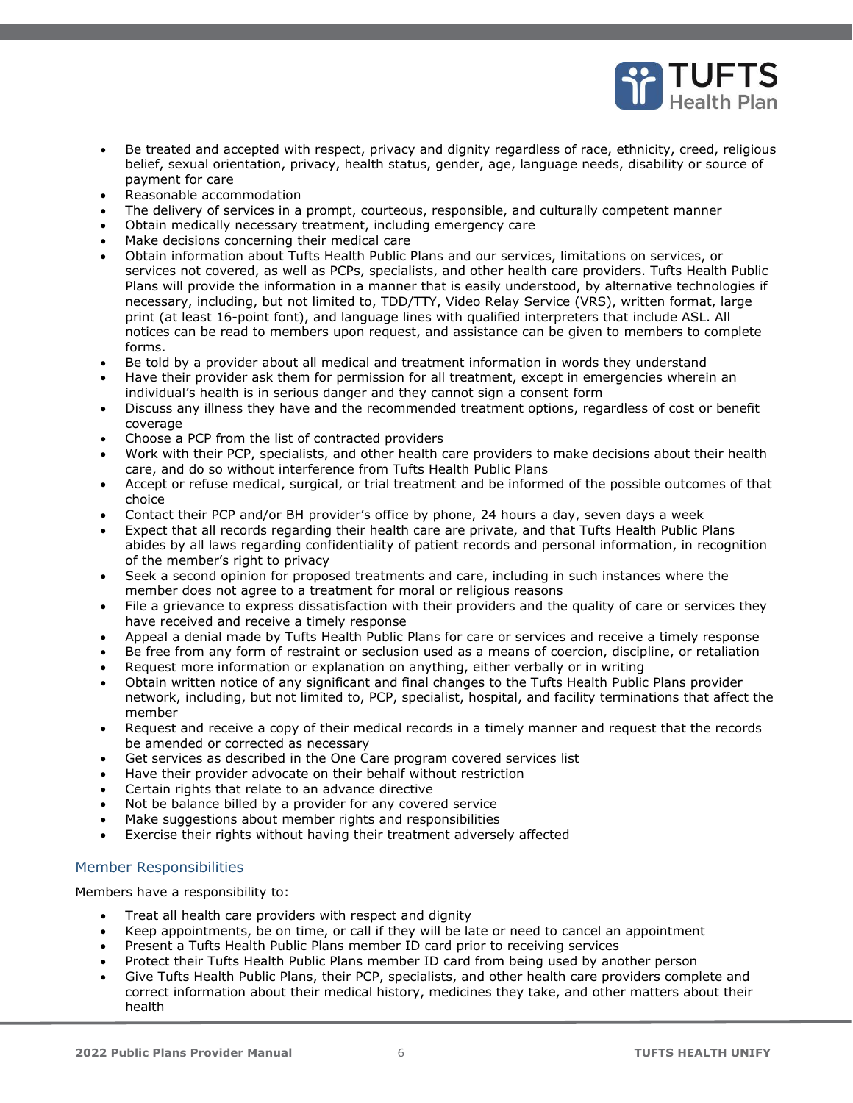

- Be treated and accepted with respect, privacy and dignity regardless of race, ethnicity, creed, religious belief, sexual orientation, privacy, health status, gender, age, language needs, disability or source of payment for care
- Reasonable accommodation
- The delivery of services in a prompt, courteous, responsible, and culturally competent manner
- Obtain medically necessary treatment, including emergency care
- Make decisions concerning their medical care
- Obtain information about Tufts Health Public Plans and our services, limitations on services, or services not covered, as well as PCPs, specialists, and other health care providers. Tufts Health Public Plans will provide the information in a manner that is easily understood, by alternative technologies if necessary, including, but not limited to, TDD/TTY, Video Relay Service (VRS), written format, large print (at least 16-point font), and language lines with qualified interpreters that include ASL. All notices can be read to members upon request, and assistance can be given to members to complete forms.
- Be told by a provider about all medical and treatment information in words they understand
- Have their provider ask them for permission for all treatment, except in emergencies wherein an individual's health is in serious danger and they cannot sign a consent form
- Discuss any illness they have and the recommended treatment options, regardless of cost or benefit coverage
- Choose a PCP from the list of contracted providers
- Work with their PCP, specialists, and other health care providers to make decisions about their health care, and do so without interference from Tufts Health Public Plans
- Accept or refuse medical, surgical, or trial treatment and be informed of the possible outcomes of that choice
- Contact their PCP and/or BH provider's office by phone, 24 hours a day, seven days a week
- Expect that all records regarding their health care are private, and that Tufts Health Public Plans abides by all laws regarding confidentiality of patient records and personal information, in recognition of the member's right to privacy
- Seek a second opinion for proposed treatments and care, including in such instances where the member does not agree to a treatment for moral or religious reasons
- File a grievance to express dissatisfaction with their providers and the quality of care or services they have received and receive a timely response
- Appeal a denial made by Tufts Health Public Plans for care or services and receive a timely response
- Be free from any form of restraint or seclusion used as a means of coercion, discipline, or retaliation
- Request more information or explanation on anything, either verbally or in writing
- Obtain written notice of any significant and final changes to the Tufts Health Public Plans provider network, including, but not limited to, PCP, specialist, hospital, and facility terminations that affect the member
- Request and receive a copy of their medical records in a timely manner and request that the records be amended or corrected as necessary
- Get services as described in the One Care program covered services list
- Have their provider advocate on their behalf without restriction
- Certain rights that relate to an advance directive
- Not be balance billed by a provider for any covered service
- Make suggestions about member rights and responsibilities
- Exercise their rights without having their treatment adversely affected

### <span id="page-5-0"></span>Member Responsibilities

Members have a responsibility to:

- Treat all health care providers with respect and dignity
- Keep appointments, be on time, or call if they will be late or need to cancel an appointment
- Present a Tufts Health Public Plans member ID card prior to receiving services
- Protect their Tufts Health Public Plans member ID card from being used by another person
- Give Tufts Health Public Plans, their PCP, specialists, and other health care providers complete and correct information about their medical history, medicines they take, and other matters about their health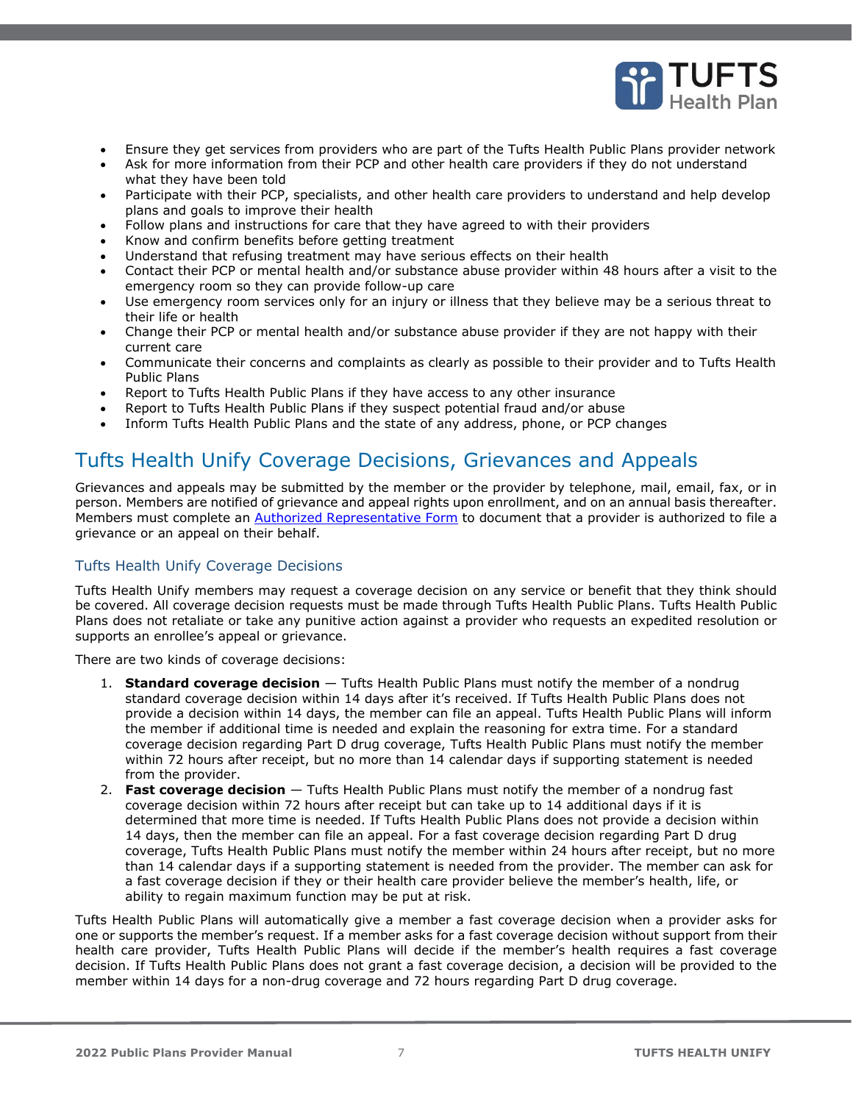

- Ensure they get services from providers who are part of the Tufts Health Public Plans provider network
- Ask for more information from their PCP and other health care providers if they do not understand what they have been told
- Participate with their PCP, specialists, and other health care providers to understand and help develop plans and goals to improve their health
- Follow plans and instructions for care that they have agreed to with their providers
- Know and confirm benefits before getting treatment
- Understand that refusing treatment may have serious effects on their health
- Contact their PCP or mental health and/or substance abuse provider within 48 hours after a visit to the emergency room so they can provide follow-up care
- Use emergency room services only for an injury or illness that they believe may be a serious threat to their life or health
- Change their PCP or mental health and/or substance abuse provider if they are not happy with their current care
- Communicate their concerns and complaints as clearly as possible to their provider and to Tufts Health Public Plans
- Report to Tufts Health Public Plans if they have access to any other insurance
- Report to Tufts Health Public Plans if they suspect potential fraud and/or abuse
- Inform Tufts Health Public Plans and the state of any address, phone, or PCP changes

# <span id="page-6-0"></span>Tufts Health Unify Coverage Decisions, Grievances and Appeals

Grievances and appeals may be submitted by the member or the provider by telephone, mail, email, fax, or in person. Members are notified of grievance and appeal rights upon enrollment, and on an annual basis thereafter. Members must complete an [Authorized Representative Form](https://tuftshealthplan.com/documents/members/forms/thpp-non-unify-authorized-rep-form) to document that a provider is authorized to file a grievance or an appeal on their behalf.

## <span id="page-6-1"></span>Tufts Health Unify Coverage Decisions

Tufts Health Unify members may request a coverage decision on any service or benefit that they think should be covered. All coverage decision requests must be made through Tufts Health Public Plans. Tufts Health Public Plans does not retaliate or take any punitive action against a provider who requests an expedited resolution or supports an enrollee's appeal or grievance.

There are two kinds of coverage decisions:

- 1. **Standard coverage decision** Tufts Health Public Plans must notify the member of a nondrug standard coverage decision within 14 days after it's received. If Tufts Health Public Plans does not provide a decision within 14 days, the member can file an appeal. Tufts Health Public Plans will inform the member if additional time is needed and explain the reasoning for extra time. For a standard coverage decision regarding Part D drug coverage, Tufts Health Public Plans must notify the member within 72 hours after receipt, but no more than 14 calendar days if supporting statement is needed from the provider.
- 2. **Fast coverage decision** Tufts Health Public Plans must notify the member of a nondrug fast coverage decision within 72 hours after receipt but can take up to 14 additional days if it is determined that more time is needed. If Tufts Health Public Plans does not provide a decision within 14 days, then the member can file an appeal. For a fast coverage decision regarding Part D drug coverage, Tufts Health Public Plans must notify the member within 24 hours after receipt, but no more than 14 calendar days if a supporting statement is needed from the provider. The member can ask for a fast coverage decision if they or their health care provider believe the member's health, life, or ability to regain maximum function may be put at risk.

Tufts Health Public Plans will automatically give a member a fast coverage decision when a provider asks for one or supports the member's request. If a member asks for a fast coverage decision without support from their health care provider, Tufts Health Public Plans will decide if the member's health requires a fast coverage decision. If Tufts Health Public Plans does not grant a fast coverage decision, a decision will be provided to the member within 14 days for a non-drug coverage and 72 hours regarding Part D drug coverage.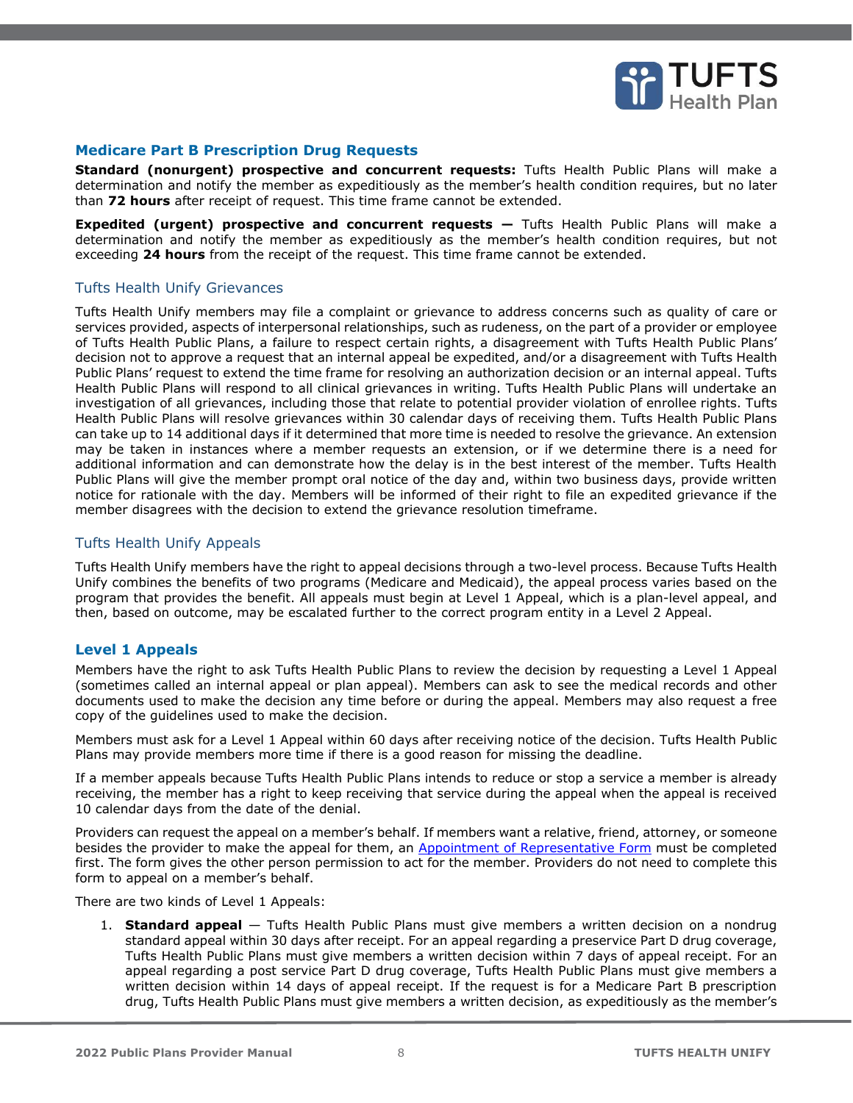

### **Medicare Part B Prescription Drug Requests**

**Standard (nonurgent) prospective and concurrent requests:** Tufts Health Public Plans will make a determination and notify the member as expeditiously as the member's health condition requires, but no later than **72 hours** after receipt of request. This time frame cannot be extended.

**Expedited (urgent) prospective and concurrent requests – Tufts Health Public Plans will make a** determination and notify the member as expeditiously as the member's health condition requires, but not exceeding **24 hours** from the receipt of the request. This time frame cannot be extended.

### <span id="page-7-0"></span>Tufts Health Unify Grievances

Tufts Health Unify members may file a complaint or grievance to address concerns such as quality of care or services provided, aspects of interpersonal relationships, such as rudeness, on the part of a provider or employee of Tufts Health Public Plans, a failure to respect certain rights, a disagreement with Tufts Health Public Plans' decision not to approve a request that an internal appeal be expedited, and/or a disagreement with Tufts Health Public Plans' request to extend the time frame for resolving an authorization decision or an internal appeal. Tufts Health Public Plans will respond to all clinical grievances in writing. Tufts Health Public Plans will undertake an investigation of all grievances, including those that relate to potential provider violation of enrollee rights. Tufts Health Public Plans will resolve grievances within 30 calendar days of receiving them. Tufts Health Public Plans can take up to 14 additional days if it determined that more time is needed to resolve the grievance. An extension may be taken in instances where a member requests an extension, or if we determine there is a need for additional information and can demonstrate how the delay is in the best interest of the member. Tufts Health Public Plans will give the member prompt oral notice of the day and, within two business days, provide written notice for rationale with the day. Members will be informed of their right to file an expedited grievance if the member disagrees with the decision to extend the grievance resolution timeframe.

#### <span id="page-7-1"></span>Tufts Health Unify Appeals

Tufts Health Unify members have the right to appeal decisions through a two-level process. Because Tufts Health Unify combines the benefits of two programs (Medicare and Medicaid), the appeal process varies based on the program that provides the benefit. All appeals must begin at Level 1 Appeal, which is a plan-level appeal, and then, based on outcome, may be escalated further to the correct program entity in a Level 2 Appeal.

### **Level 1 Appeals**

Members have the right to ask Tufts Health Public Plans to review the decision by requesting a Level 1 Appeal (sometimes called an internal appeal or plan appeal). Members can ask to see the medical records and other documents used to make the decision any time before or during the appeal. Members may also request a free copy of the guidelines used to make the decision.

Members must ask for a Level 1 Appeal within 60 days after receiving notice of the decision. Tufts Health Public Plans may provide members more time if there is a good reason for missing the deadline.

If a member appeals because Tufts Health Public Plans intends to reduce or stop a service a member is already receiving, the member has a right to keep receiving that service during the appeal when the appeal is received 10 calendar days from the date of the denial.

Providers can request the appeal on a member's behalf. If members want a relative, friend, attorney, or someone besides the provider to make the appeal for them, an [Appointment of Representative Form](https://tuftshealthplan.com/documents/members/forms/appointment-of-representative-unify) must be completed first. The form gives the other person permission to act for the member. Providers do not need to complete this form to appeal on a member's behalf.

There are two kinds of Level 1 Appeals:

1. **Standard appeal** — Tufts Health Public Plans must give members a written decision on a nondrug standard appeal within 30 days after receipt. For an appeal regarding a preservice Part D drug coverage, Tufts Health Public Plans must give members a written decision within 7 days of appeal receipt. For an appeal regarding a post service Part D drug coverage, Tufts Health Public Plans must give members a written decision within 14 days of appeal receipt. If the request is for a Medicare Part B prescription drug, Tufts Health Public Plans must give members a written decision, as expeditiously as the member's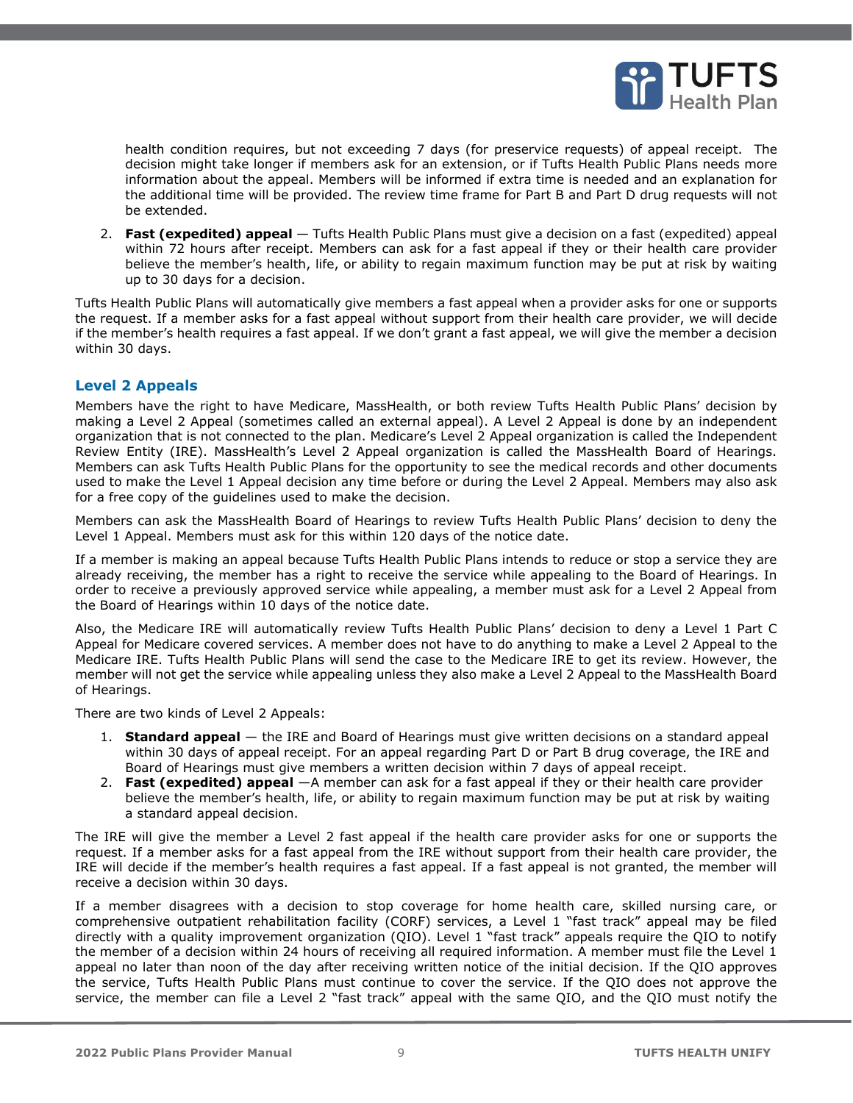

health condition requires, but not exceeding 7 days (for preservice requests) of appeal receipt. The decision might take longer if members ask for an extension, or if Tufts Health Public Plans needs more information about the appeal. Members will be informed if extra time is needed and an explanation for the additional time will be provided. The review time frame for Part B and Part D drug requests will not be extended.

2. **Fast (expedited) appeal** — Tufts Health Public Plans must give a decision on a fast (expedited) appeal within 72 hours after receipt. Members can ask for a fast appeal if they or their health care provider believe the member's health, life, or ability to regain maximum function may be put at risk by waiting up to 30 days for a decision.

Tufts Health Public Plans will automatically give members a fast appeal when a provider asks for one or supports the request. If a member asks for a fast appeal without support from their health care provider, we will decide if the member's health requires a fast appeal. If we don't grant a fast appeal, we will give the member a decision within 30 days.

### **Level 2 Appeals**

Members have the right to have Medicare, MassHealth, or both review Tufts Health Public Plans' decision by making a Level 2 Appeal (sometimes called an external appeal). A Level 2 Appeal is done by an independent organization that is not connected to the plan. Medicare's Level 2 Appeal organization is called the Independent Review Entity (IRE). MassHealth's Level 2 Appeal organization is called the MassHealth Board of Hearings. Members can ask Tufts Health Public Plans for the opportunity to see the medical records and other documents used to make the Level 1 Appeal decision any time before or during the Level 2 Appeal. Members may also ask for a free copy of the guidelines used to make the decision.

Members can ask the MassHealth Board of Hearings to review Tufts Health Public Plans' decision to deny the Level 1 Appeal. Members must ask for this within 120 days of the notice date.

If a member is making an appeal because Tufts Health Public Plans intends to reduce or stop a service they are already receiving, the member has a right to receive the service while appealing to the Board of Hearings. In order to receive a previously approved service while appealing, a member must ask for a Level 2 Appeal from the Board of Hearings within 10 days of the notice date.

Also, the Medicare IRE will automatically review Tufts Health Public Plans' decision to deny a Level 1 Part C Appeal for Medicare covered services. A member does not have to do anything to make a Level 2 Appeal to the Medicare IRE. Tufts Health Public Plans will send the case to the Medicare IRE to get its review. However, the member will not get the service while appealing unless they also make a Level 2 Appeal to the MassHealth Board of Hearings.

There are two kinds of Level 2 Appeals:

- 1. **Standard appeal** the IRE and Board of Hearings must give written decisions on a standard appeal within 30 days of appeal receipt. For an appeal regarding Part D or Part B drug coverage, the IRE and Board of Hearings must give members a written decision within 7 days of appeal receipt.
- 2. **Fast (expedited) appeal** —A member can ask for a fast appeal if they or their health care provider believe the member's health, life, or ability to regain maximum function may be put at risk by waiting a standard appeal decision.

The IRE will give the member a Level 2 fast appeal if the health care provider asks for one or supports the request. If a member asks for a fast appeal from the IRE without support from their health care provider, the IRE will decide if the member's health requires a fast appeal. If a fast appeal is not granted, the member will receive a decision within 30 days.

If a member disagrees with a decision to stop coverage for home health care, skilled nursing care, or comprehensive outpatient rehabilitation facility (CORF) services, a Level 1 "fast track" appeal may be filed directly with a quality improvement organization (QIO). Level 1 "fast track" appeals require the QIO to notify the member of a decision within 24 hours of receiving all required information. A member must file the Level 1 appeal no later than noon of the day after receiving written notice of the initial decision. If the QIO approves the service, Tufts Health Public Plans must continue to cover the service. If the QIO does not approve the service, the member can file a Level 2 "fast track" appeal with the same QIO, and the QIO must notify the